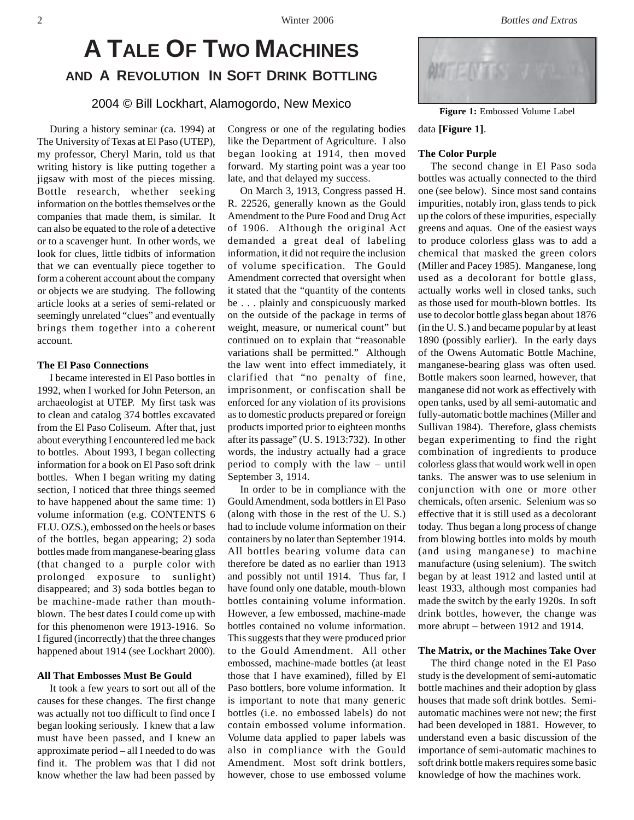# **A TALE OF TWO MACHINES AND A REVOLUTION IN SOFT DRINK BOTTLING**

2004 © Bill Lockhart, Alamogordo, New Mexico

During a history seminar (ca. 1994) at The University of Texas at El Paso (UTEP), my professor, Cheryl Marin, told us that writing history is like putting together a jigsaw with most of the pieces missing. Bottle research, whether seeking information on the bottles themselves or the companies that made them, is similar. It can also be equated to the role of a detective or to a scavenger hunt. In other words, we look for clues, little tidbits of information that we can eventually piece together to form a coherent account about the company or objects we are studying. The following article looks at a series of semi-related or seemingly unrelated "clues" and eventually brings them together into a coherent account.

## **The El Paso Connections**

I became interested in El Paso bottles in 1992, when I worked for John Peterson, an archaeologist at UTEP. My first task was to clean and catalog 374 bottles excavated from the El Paso Coliseum. After that, just about everything I encountered led me back to bottles. About 1993, I began collecting information for a book on El Paso soft drink bottles. When I began writing my dating section, I noticed that three things seemed to have happened about the same time: 1) volume information (e.g. CONTENTS 6 FLU. OZS.), embossed on the heels or bases of the bottles, began appearing; 2) soda bottles made from manganese-bearing glass (that changed to a purple color with prolonged exposure to sunlight) disappeared; and 3) soda bottles began to be machine-made rather than mouthblown. The best dates I could come up with for this phenomenon were 1913-1916. So I figured (incorrectly) that the three changes happened about 1914 (see Lockhart 2000).

#### **All That Embosses Must Be Gould**

It took a few years to sort out all of the causes for these changes. The first change was actually not too difficult to find once I began looking seriously. I knew that a law must have been passed, and I knew an approximate period – all I needed to do was find it. The problem was that I did not know whether the law had been passed by

Congress or one of the regulating bodies like the Department of Agriculture. I also began looking at 1914, then moved forward. My starting point was a year too late, and that delayed my success.

On March 3, 1913, Congress passed H. R. 22526, generally known as the Gould Amendment to the Pure Food and Drug Act of 1906. Although the original Act demanded a great deal of labeling information, it did not require the inclusion of volume specification. The Gould Amendment corrected that oversight when it stated that the "quantity of the contents be . . . plainly and conspicuously marked on the outside of the package in terms of weight, measure, or numerical count" but continued on to explain that "reasonable variations shall be permitted." Although the law went into effect immediately, it clarified that "no penalty of fine, imprisonment, or confiscation shall be enforced for any violation of its provisions as to domestic products prepared or foreign products imported prior to eighteen months after its passage" (U. S. 1913:732). In other words, the industry actually had a grace period to comply with the law – until September 3, 1914.

In order to be in compliance with the Gould Amendment, soda bottlers in El Paso (along with those in the rest of the U. S.) had to include volume information on their containers by no later than September 1914. All bottles bearing volume data can therefore be dated as no earlier than 1913 and possibly not until 1914. Thus far, I have found only one datable, mouth-blown bottles containing volume information. However, a few embossed, machine-made bottles contained no volume information. This suggests that they were produced prior to the Gould Amendment. All other embossed, machine-made bottles (at least those that I have examined), filled by El Paso bottlers, bore volume information. It is important to note that many generic bottles (i.e. no embossed labels) do not contain embossed volume information. Volume data applied to paper labels was also in compliance with the Gould Amendment. Most soft drink bottlers, however, chose to use embossed volume



**Figure 1:** Embossed Volume Label

# data **[Figure 1]**.

#### **The Color Purple**

The second change in El Paso soda bottles was actually connected to the third one (see below). Since most sand contains impurities, notably iron, glass tends to pick up the colors of these impurities, especially greens and aquas. One of the easiest ways to produce colorless glass was to add a chemical that masked the green colors (Miller and Pacey 1985). Manganese, long used as a decolorant for bottle glass, actually works well in closed tanks, such as those used for mouth-blown bottles. Its use to decolor bottle glass began about 1876 (in the U. S.) and became popular by at least 1890 (possibly earlier). In the early days of the Owens Automatic Bottle Machine, manganese-bearing glass was often used. Bottle makers soon learned, however, that manganese did not work as effectively with open tanks, used by all semi-automatic and fully-automatic bottle machines (Miller and Sullivan 1984). Therefore, glass chemists began experimenting to find the right combination of ingredients to produce colorless glass that would work well in open tanks. The answer was to use selenium in conjunction with one or more other chemicals, often arsenic. Selenium was so effective that it is still used as a decolorant today. Thus began a long process of change from blowing bottles into molds by mouth (and using manganese) to machine manufacture (using selenium). The switch began by at least 1912 and lasted until at least 1933, although most companies had made the switch by the early 1920s. In soft drink bottles, however, the change was more abrupt – between 1912 and 1914.

#### **The Matrix, or the Machines Take Over**

The third change noted in the El Paso study is the development of semi-automatic bottle machines and their adoption by glass houses that made soft drink bottles. Semiautomatic machines were not new; the first had been developed in 1881. However, to understand even a basic discussion of the importance of semi-automatic machines to soft drink bottle makers requires some basic knowledge of how the machines work.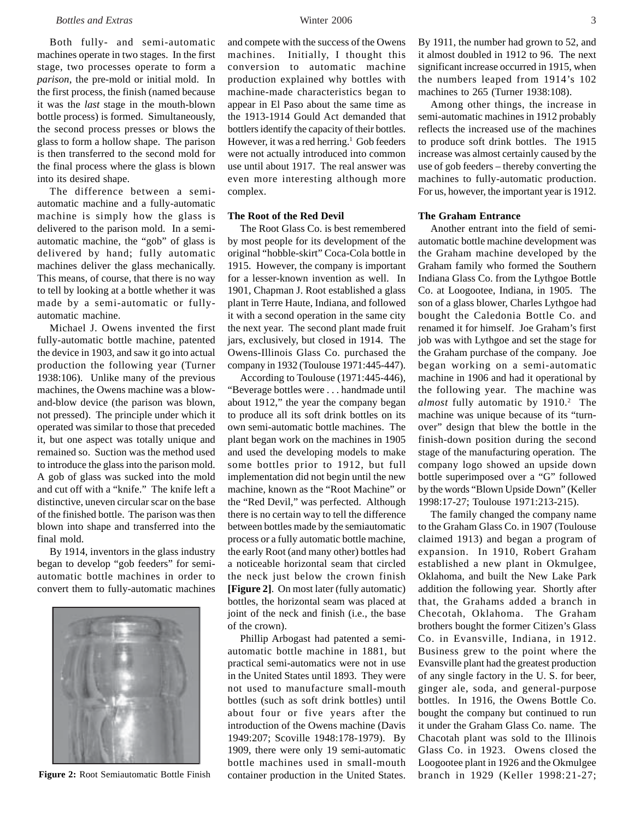Both fully- and semi-automatic machines operate in two stages. In the first stage, two processes operate to form a *parison*, the pre-mold or initial mold. In the first process, the finish (named because it was the *last* stage in the mouth-blown bottle process) is formed. Simultaneously, the second process presses or blows the glass to form a hollow shape. The parison is then transferred to the second mold for the final process where the glass is blown into its desired shape.

The difference between a semiautomatic machine and a fully-automatic machine is simply how the glass is delivered to the parison mold. In a semiautomatic machine, the "gob" of glass is delivered by hand; fully automatic machines deliver the glass mechanically. This means, of course, that there is no way to tell by looking at a bottle whether it was made by a semi-automatic or fullyautomatic machine.

Michael J. Owens invented the first fully-automatic bottle machine, patented the device in 1903, and saw it go into actual production the following year (Turner 1938:106). Unlike many of the previous machines, the Owens machine was a blowand-blow device (the parison was blown, not pressed). The principle under which it operated was similar to those that preceded it, but one aspect was totally unique and remained so. Suction was the method used to introduce the glass into the parison mold. A gob of glass was sucked into the mold and cut off with a "knife." The knife left a distinctive, uneven circular scar on the base of the finished bottle. The parison was then blown into shape and transferred into the final mold.

By 1914, inventors in the glass industry began to develop "gob feeders" for semiautomatic bottle machines in order to convert them to fully-automatic machines



and compete with the success of the Owens machines. Initially, I thought this conversion to automatic machine production explained why bottles with machine-made characteristics began to appear in El Paso about the same time as the 1913-1914 Gould Act demanded that bottlers identify the capacity of their bottles. However, it was a red herring.<sup>1</sup> Gob feeders were not actually introduced into common use until about 1917. The real answer was even more interesting although more complex.

## **The Root of the Red Devil**

The Root Glass Co. is best remembered by most people for its development of the original "hobble-skirt" Coca-Cola bottle in 1915. However, the company is important for a lesser-known invention as well. In 1901, Chapman J. Root established a glass plant in Terre Haute, Indiana, and followed it with a second operation in the same city the next year. The second plant made fruit jars, exclusively, but closed in 1914. The Owens-Illinois Glass Co. purchased the company in 1932 (Toulouse 1971:445-447).

According to Toulouse (1971:445-446), "Beverage bottles were . . . handmade until about 1912," the year the company began to produce all its soft drink bottles on its own semi-automatic bottle machines. The plant began work on the machines in 1905 and used the developing models to make some bottles prior to 1912, but full implementation did not begin until the new machine, known as the "Root Machine" or the "Red Devil," was perfected. Although there is no certain way to tell the difference between bottles made by the semiautomatic process or a fully automatic bottle machine, the early Root (and many other) bottles had a noticeable horizontal seam that circled the neck just below the crown finish **[Figure 2]**. On most later (fully automatic) bottles, the horizontal seam was placed at joint of the neck and finish (i.e., the base of the crown).

Phillip Arbogast had patented a semiautomatic bottle machine in 1881, but practical semi-automatics were not in use in the United States until 1893. They were not used to manufacture small-mouth bottles (such as soft drink bottles) until about four or five years after the introduction of the Owens machine (Davis 1949:207; Scoville 1948:178-1979). By 1909, there were only 19 semi-automatic bottle machines used in small-mouth **Figure 2:** Root Semiautomatic Bottle Finish container production in the United States.

By 1911, the number had grown to 52, and it almost doubled in 1912 to 96. The next significant increase occurred in 1915, when the numbers leaped from 1914's 102 machines to 265 (Turner 1938:108).

Among other things, the increase in semi-automatic machines in 1912 probably reflects the increased use of the machines to produce soft drink bottles. The 1915 increase was almost certainly caused by the use of gob feeders – thereby converting the machines to fully-automatic production. For us, however, the important year is 1912.

# **The Graham Entrance**

Another entrant into the field of semiautomatic bottle machine development was the Graham machine developed by the Graham family who formed the Southern Indiana Glass Co. from the Lythgoe Bottle Co. at Loogootee, Indiana, in 1905. The son of a glass blower, Charles Lythgoe had bought the Caledonia Bottle Co. and renamed it for himself. Joe Graham's first job was with Lythgoe and set the stage for the Graham purchase of the company. Joe began working on a semi-automatic machine in 1906 and had it operational by the following year. The machine was almost fully automatic by 1910.<sup>2</sup> The machine was unique because of its "turnover" design that blew the bottle in the finish-down position during the second stage of the manufacturing operation. The company logo showed an upside down bottle superimposed over a "G" followed by the words "Blown Upside Down" (Keller 1998:17-27; Toulouse 1971:213-215).

The family changed the company name to the Graham Glass Co. in 1907 (Toulouse claimed 1913) and began a program of expansion. In 1910, Robert Graham established a new plant in Okmulgee, Oklahoma, and built the New Lake Park addition the following year. Shortly after that, the Grahams added a branch in Checotah, Oklahoma. The Graham brothers bought the former Citizen's Glass Co. in Evansville, Indiana, in 1912. Business grew to the point where the Evansville plant had the greatest production of any single factory in the U. S. for beer, ginger ale, soda, and general-purpose bottles. In 1916, the Owens Bottle Co. bought the company but continued to run it under the Graham Glass Co. name. The Chacotah plant was sold to the Illinois Glass Co. in 1923. Owens closed the Loogootee plant in 1926 and the Okmulgee branch in 1929 (Keller 1998:21-27;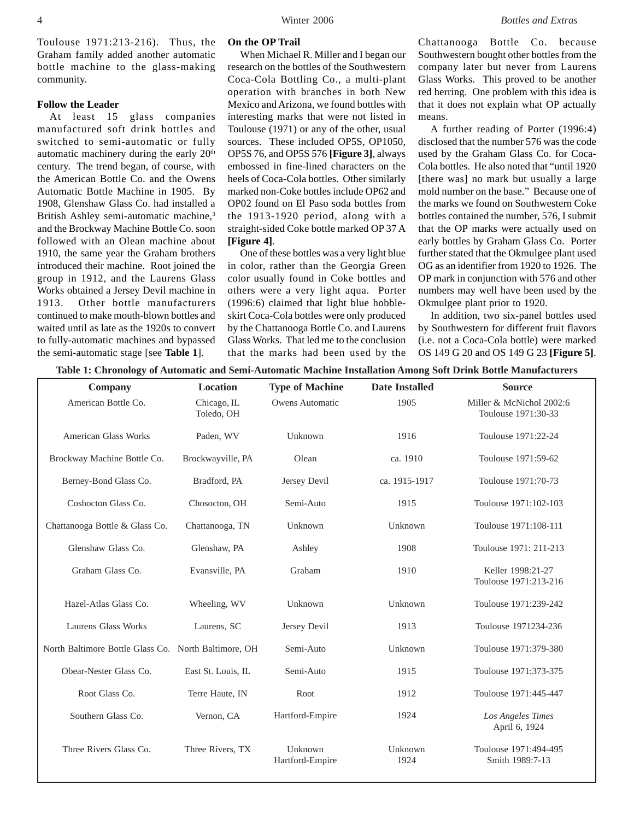Toulouse 1971:213-216). Thus, the Graham family added another automatic bottle machine to the glass-making community.

### **Follow the Leader**

At least 15 glass companies manufactured soft drink bottles and switched to semi-automatic or fully automatic machinery during the early 20<sup>th</sup> century. The trend began, of course, with the American Bottle Co. and the Owens Automatic Bottle Machine in 1905. By 1908, Glenshaw Glass Co. had installed a British Ashley semi-automatic machine,<sup>3</sup> and the Brockway Machine Bottle Co. soon followed with an Olean machine about 1910, the same year the Graham brothers introduced their machine. Root joined the group in 1912, and the Laurens Glass Works obtained a Jersey Devil machine in 1913. Other bottle manufacturers continued to make mouth-blown bottles and waited until as late as the 1920s to convert to fully-automatic machines and bypassed the semi-automatic stage [see **Table 1**].

#### **On the OP Trail**

When Michael R. Miller and I began our research on the bottles of the Southwestern Coca-Cola Bottling Co., a multi-plant operation with branches in both New Mexico and Arizona, we found bottles with interesting marks that were not listed in Toulouse (1971) or any of the other, usual sources. These included OP5S, OP1050, OP5S 76, and OP5S 576 **[Figure 3]**, always embossed in fine-lined characters on the heels of Coca-Cola bottles. Other similarly marked non-Coke bottles include OP62 and OP02 found on El Paso soda bottles from the 1913-1920 period, along with a straight-sided Coke bottle marked OP 37 A **[Figure 4]**.

One of these bottles was a very light blue in color, rather than the Georgia Green color usually found in Coke bottles and others were a very light aqua. Porter (1996:6) claimed that light blue hobbleskirt Coca-Cola bottles were only produced by the Chattanooga Bottle Co. and Laurens Glass Works. That led me to the conclusion that the marks had been used by the

Chattanooga Bottle Co. because Southwestern bought other bottles from the company later but never from Laurens Glass Works. This proved to be another red herring. One problem with this idea is that it does not explain what OP actually means.

A further reading of Porter (1996:4) disclosed that the number 576 was the code used by the Graham Glass Co. for Coca-Cola bottles. He also noted that "until 1920 [there was] no mark but usually a large mold number on the base." Because one of the marks we found on Southwestern Coke bottles contained the number, 576, I submit that the OP marks were actually used on early bottles by Graham Glass Co. Porter further stated that the Okmulgee plant used OG as an identifier from 1920 to 1926. The OP mark in conjunction with 576 and other numbers may well have been used by the Okmulgee plant prior to 1920.

In addition, two six-panel bottles used by Southwestern for different fruit flavors (i.e. not a Coca-Cola bottle) were marked OS 149 G 20 and OS 149 G 23 **[Figure 5]**.

|  |  |  |  |  |  | Table 1: Chronology of Automatic and Semi-Automatic Machine Installation Among Soft Drink Bottle Manufacturers |
|--|--|--|--|--|--|----------------------------------------------------------------------------------------------------------------|
|--|--|--|--|--|--|----------------------------------------------------------------------------------------------------------------|

| $\mathbf{\sim}$                                      |                    |                        |                       |                          |
|------------------------------------------------------|--------------------|------------------------|-----------------------|--------------------------|
| <b>Company</b>                                       | Location           | <b>Type of Machine</b> | <b>Date Installed</b> | <b>Source</b>            |
| American Bottle Co.                                  | Chicago, IL        | Owens Automatic        | 1905                  | Miller & McNichol 2002:6 |
|                                                      | Toledo, OH         |                        |                       | Toulouse 1971:30-33      |
|                                                      |                    |                        |                       |                          |
| <b>American Glass Works</b>                          | Paden, WV          | Unknown                | 1916                  | Toulouse 1971:22-24      |
|                                                      |                    |                        |                       |                          |
| Brockway Machine Bottle Co.                          | Brockwayville, PA  | Olean                  | ca. 1910              | Toulouse 1971:59-62      |
|                                                      |                    |                        |                       |                          |
| Berney-Bond Glass Co.                                | Bradford, PA       | Jersey Devil           | ca. 1915-1917         | Toulouse 1971:70-73      |
|                                                      |                    |                        |                       |                          |
| Coshocton Glass Co.                                  | Chosocton, OH      | Semi-Auto              | 1915                  | Toulouse 1971:102-103    |
| Chattanooga Bottle & Glass Co.                       | Chattanooga, TN    | Unknown                | Unknown               | Toulouse 1971:108-111    |
|                                                      |                    |                        |                       |                          |
| Glenshaw Glass Co.                                   | Glenshaw, PA       | Ashley                 | 1908                  | Toulouse 1971: 211-213   |
|                                                      |                    |                        |                       |                          |
| Graham Glass Co.                                     | Evansville, PA     | Graham                 | 1910                  | Keller 1998:21-27        |
|                                                      |                    |                        |                       | Toulouse 1971:213-216    |
|                                                      |                    |                        |                       |                          |
| Hazel-Atlas Glass Co.                                | Wheeling, WV       | Unknown                | Unknown               | Toulouse 1971:239-242    |
|                                                      |                    |                        |                       |                          |
| Laurens Glass Works                                  | Laurens, SC        | Jersey Devil           | 1913                  | Toulouse 1971234-236     |
|                                                      |                    |                        |                       |                          |
| North Baltimore Bottle Glass Co. North Baltimore, OH |                    | Semi-Auto              | Unknown               | Toulouse 1971:379-380    |
|                                                      |                    |                        |                       |                          |
| Obear-Nester Glass Co.                               | East St. Louis, IL | Semi-Auto              | 1915                  | Toulouse 1971:373-375    |
|                                                      |                    |                        |                       |                          |
| Root Glass Co.                                       | Terre Haute, IN    | Root                   | 1912                  | Toulouse 1971:445-447    |
|                                                      |                    |                        |                       |                          |
| Southern Glass Co.                                   | Vernon, CA         | Hartford-Empire        | 1924                  | Los Angeles Times        |
|                                                      |                    |                        |                       | April 6, 1924            |
| Three Rivers Glass Co.                               | Three Rivers, TX   | Unknown                | Unknown               | Toulouse 1971:494-495    |
|                                                      |                    | Hartford-Empire        | 1924                  | Smith 1989:7-13          |
|                                                      |                    |                        |                       |                          |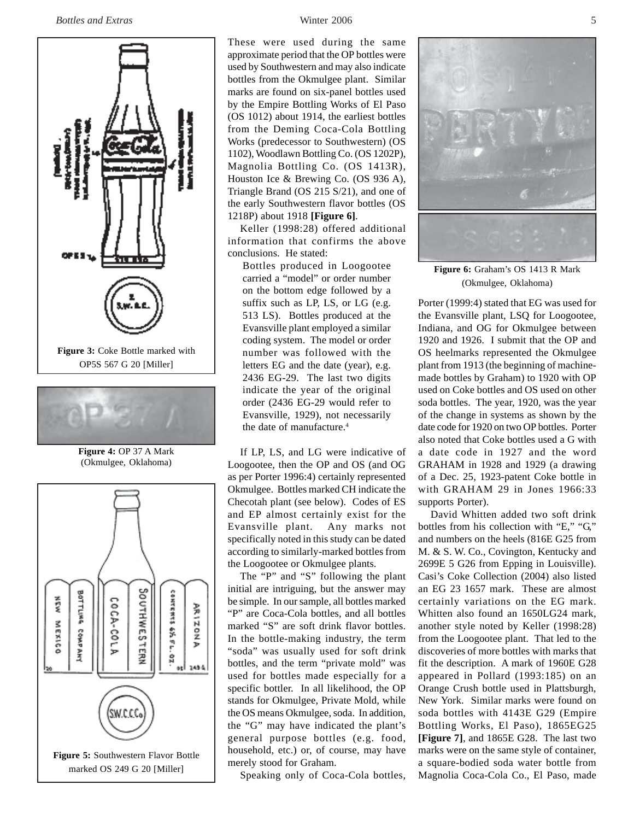



**Figure 4:** OP 37 A Mark (Okmulgee, Oklahoma)



These were used during the same approximate period that the OP bottles were used by Southwestern and may also indicate bottles from the Okmulgee plant. Similar marks are found on six-panel bottles used by the Empire Bottling Works of El Paso (OS 1012) about 1914, the earliest bottles from the Deming Coca-Cola Bottling Works (predecessor to Southwestern) (OS 1102), Woodlawn Bottling Co. (OS 1202P), Magnolia Bottling Co. (OS 1413R), Houston Ice & Brewing Co. (OS 936 A), Triangle Brand (OS 215 S/21), and one of the early Southwestern flavor bottles (OS 1218P) about 1918 **[Figure 6]**.

Keller (1998:28) offered additional information that confirms the above conclusions. He stated:

Bottles produced in Loogootee carried a "model" or order number on the bottom edge followed by a suffix such as LP, LS, or LG (e.g. 513 LS). Bottles produced at the Evansville plant employed a similar coding system. The model or order number was followed with the letters EG and the date (year), e.g. 2436 EG-29. The last two digits indicate the year of the original order (2436 EG-29 would refer to Evansville, 1929), not necessarily the date of manufacture.<sup>4</sup>

If LP, LS, and LG were indicative of Loogootee, then the OP and OS (and OG as per Porter 1996:4) certainly represented Okmulgee. Bottles marked CH indicate the Checotah plant (see below). Codes of ES and EP almost certainly exist for the Evansville plant. Any marks not specifically noted in this study can be dated according to similarly-marked bottles from the Loogootee or Okmulgee plants.

The "P" and "S" following the plant initial are intriguing, but the answer may be simple. In our sample, all bottles marked "P" are Coca-Cola bottles, and all bottles marked "S" are soft drink flavor bottles. In the bottle-making industry, the term "soda" was usually used for soft drink bottles, and the term "private mold" was used for bottles made especially for a specific bottler. In all likelihood, the OP stands for Okmulgee, Private Mold, while the OS means Okmulgee, soda. In addition, the "G" may have indicated the plant's general purpose bottles (e.g. food, household, etc.) or, of course, may have merely stood for Graham.

Speaking only of Coca-Cola bottles,



**Figure 6:** Graham's OS 1413 R Mark (Okmulgee, Oklahoma)

Porter (1999:4) stated that EG was used for the Evansville plant, LSQ for Loogootee, Indiana, and OG for Okmulgee between 1920 and 1926. I submit that the OP and OS heelmarks represented the Okmulgee plant from 1913 (the beginning of machinemade bottles by Graham) to 1920 with OP used on Coke bottles and OS used on other soda bottles. The year, 1920, was the year of the change in systems as shown by the date code for 1920 on two OP bottles. Porter also noted that Coke bottles used a G with a date code in 1927 and the word GRAHAM in 1928 and 1929 (a drawing of a Dec. 25, 1923-patent Coke bottle in with GRAHAM 29 in Jones 1966:33 supports Porter).

David Whitten added two soft drink bottles from his collection with "E," "G," and numbers on the heels (816E G25 from M. & S. W. Co., Covington, Kentucky and 2699E 5 G26 from Epping in Louisville). Casi's Coke Collection (2004) also listed an EG 23 1657 mark. These are almost certainly variations on the EG mark. Whitten also found an 1650LG24 mark, another style noted by Keller (1998:28) from the Loogootee plant. That led to the discoveries of more bottles with marks that fit the description. A mark of 1960E G28 appeared in Pollard (1993:185) on an Orange Crush bottle used in Plattsburgh, New York. Similar marks were found on soda bottles with 4143E G29 (Empire Bottling Works, El Paso), 1865EG25 **[Figure 7]**, and 1865E G28. The last two marks were on the same style of container, a square-bodied soda water bottle from Magnolia Coca-Cola Co., El Paso, made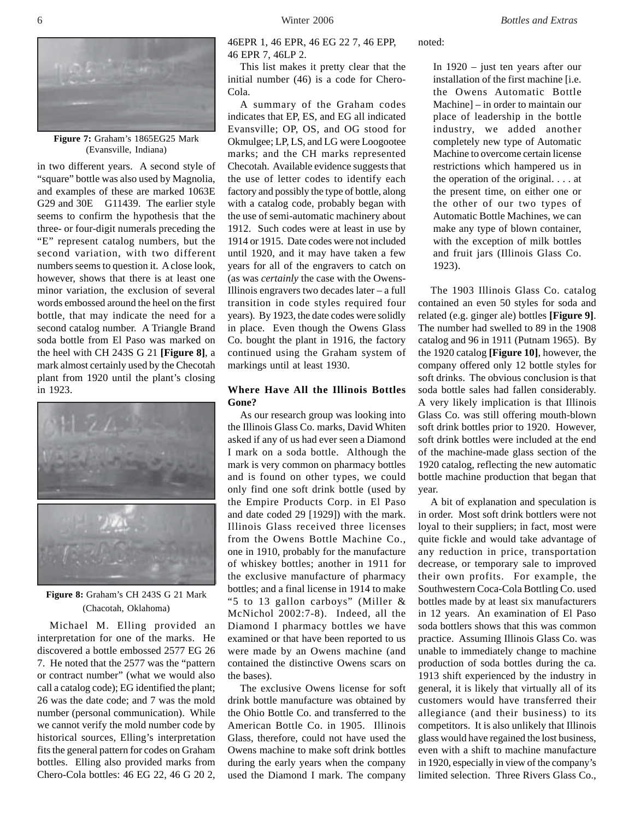

**Figure 7:** Graham's 1865EG25 Mark (Evansville, Indiana)

in two different years. A second style of "square" bottle was also used by Magnolia, and examples of these are marked 1063E G29 and 30E G11439. The earlier style seems to confirm the hypothesis that the three- or four-digit numerals preceding the "E" represent catalog numbers, but the second variation, with two different numbers seems to question it. A close look, however, shows that there is at least one minor variation, the exclusion of several words embossed around the heel on the first bottle, that may indicate the need for a second catalog number. A Triangle Brand soda bottle from El Paso was marked on the heel with CH 243S G 21 **[Figure 8]**, a mark almost certainly used by the Checotah plant from 1920 until the plant's closing in 1923.



**Figure 8:** Graham's CH 243S G 21 Mark (Chacotah, Oklahoma)

Michael M. Elling provided an interpretation for one of the marks. He discovered a bottle embossed 2577 EG 26 7. He noted that the 2577 was the "pattern or contract number" (what we would also call a catalog code); EG identified the plant; 26 was the date code; and 7 was the mold number (personal communication). While we cannot verify the mold number code by historical sources, Elling's interpretation fits the general pattern for codes on Graham bottles. Elling also provided marks from Chero-Cola bottles: 46 EG 22, 46 G 20 2,

46EPR 1, 46 EPR, 46 EG 22 7, 46 EPP, 46 EPR 7, 46LP 2.

This list makes it pretty clear that the initial number (46) is a code for Chero-Cola.

A summary of the Graham codes indicates that EP, ES, and EG all indicated Evansville; OP, OS, and OG stood for Okmulgee; LP, LS, and LG were Loogootee marks; and the CH marks represented Checotah. Available evidence suggests that the use of letter codes to identify each factory and possibly the type of bottle, along with a catalog code, probably began with the use of semi-automatic machinery about 1912. Such codes were at least in use by 1914 or 1915. Date codes were not included until 1920, and it may have taken a few years for all of the engravers to catch on (as was *certainly* the case with the Owens-Illinois engravers two decades later – a full transition in code styles required four years). By 1923, the date codes were solidly in place. Even though the Owens Glass Co. bought the plant in 1916, the factory continued using the Graham system of markings until at least 1930.

## **Where Have All the Illinois Bottles Gone?**

As our research group was looking into the Illinois Glass Co. marks, David Whiten asked if any of us had ever seen a Diamond I mark on a soda bottle. Although the mark is very common on pharmacy bottles and is found on other types, we could only find one soft drink bottle (used by the Empire Products Corp. in El Paso and date coded 29 [1929]) with the mark. Illinois Glass received three licenses from the Owens Bottle Machine Co., one in 1910, probably for the manufacture of whiskey bottles; another in 1911 for the exclusive manufacture of pharmacy bottles; and a final license in 1914 to make "5 to 13 gallon carboys" (Miller & McNichol 2002:7-8). Indeed, all the Diamond I pharmacy bottles we have examined or that have been reported to us were made by an Owens machine (and contained the distinctive Owens scars on the bases).

The exclusive Owens license for soft drink bottle manufacture was obtained by the Ohio Bottle Co. and transferred to the American Bottle Co. in 1905. Illinois Glass, therefore, could not have used the Owens machine to make soft drink bottles during the early years when the company used the Diamond I mark. The company

noted:

In 1920 – just ten years after our installation of the first machine [i.e. the Owens Automatic Bottle Machine] – in order to maintain our place of leadership in the bottle industry, we added another completely new type of Automatic Machine to overcome certain license restrictions which hampered us in the operation of the original. . . . at the present time, on either one or the other of our two types of Automatic Bottle Machines, we can make any type of blown container, with the exception of milk bottles and fruit jars (Illinois Glass Co. 1923).

The 1903 Illinois Glass Co. catalog contained an even 50 styles for soda and related (e.g. ginger ale) bottles **[Figure 9]**. The number had swelled to 89 in the 1908 catalog and 96 in 1911 (Putnam 1965). By the 1920 catalog **[Figure 10]**, however, the company offered only 12 bottle styles for soft drinks. The obvious conclusion is that soda bottle sales had fallen considerably. A very likely implication is that Illinois Glass Co. was still offering mouth-blown soft drink bottles prior to 1920. However, soft drink bottles were included at the end of the machine-made glass section of the 1920 catalog, reflecting the new automatic bottle machine production that began that year.

A bit of explanation and speculation is in order. Most soft drink bottlers were not loyal to their suppliers; in fact, most were quite fickle and would take advantage of any reduction in price, transportation decrease, or temporary sale to improved their own profits. For example, the Southwestern Coca-Cola Bottling Co. used bottles made by at least six manufacturers in 12 years. An examination of El Paso soda bottlers shows that this was common practice. Assuming Illinois Glass Co. was unable to immediately change to machine production of soda bottles during the ca. 1913 shift experienced by the industry in general, it is likely that virtually all of its customers would have transferred their allegiance (and their business) to its competitors. It is also unlikely that Illinois glass would have regained the lost business, even with a shift to machine manufacture in 1920, especially in view of the company's limited selection. Three Rivers Glass Co.,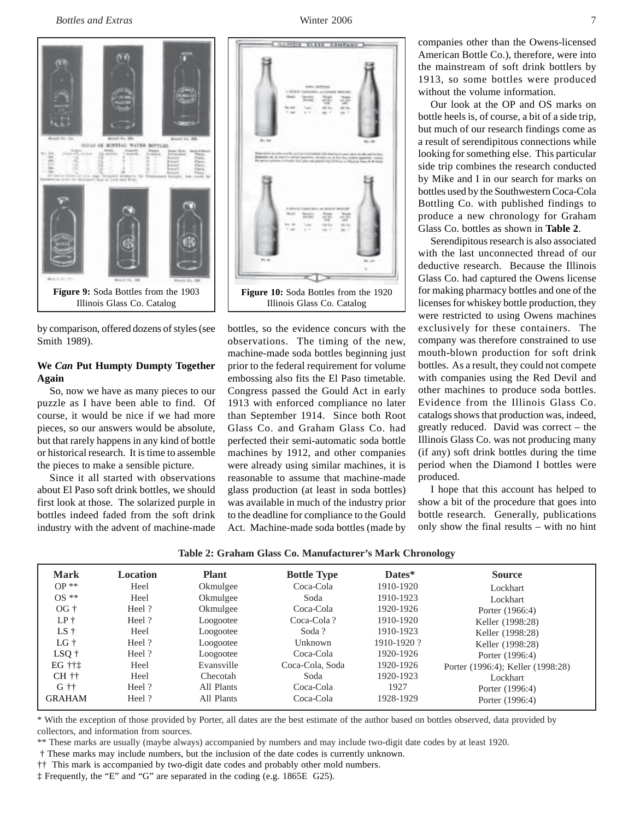*Bottles and Extras* Winter 2006 7



by comparison, offered dozens of styles (see Smith 1989).

# **We** *Can* **Put Humpty Dumpty Together Again**

So, now we have as many pieces to our puzzle as I have been able to find. Of course, it would be nice if we had more pieces, so our answers would be absolute, but that rarely happens in any kind of bottle or historical research. It is time to assemble the pieces to make a sensible picture.

Since it all started with observations about El Paso soft drink bottles, we should first look at those. The solarized purple in bottles indeed faded from the soft drink industry with the advent of machine-made



bottles, so the evidence concurs with the observations. The timing of the new, machine-made soda bottles beginning just prior to the federal requirement for volume embossing also fits the El Paso timetable. Congress passed the Gould Act in early 1913 with enforced compliance no later than September 1914. Since both Root Glass Co. and Graham Glass Co. had perfected their semi-automatic soda bottle machines by 1912, and other companies were already using similar machines, it is reasonable to assume that machine-made glass production (at least in soda bottles) was available in much of the industry prior to the deadline for compliance to the Gould Act. Machine-made soda bottles (made by

companies other than the Owens-licensed American Bottle Co.), therefore, were into the mainstream of soft drink bottlers by 1913, so some bottles were produced without the volume information.

Our look at the OP and OS marks on bottle heels is, of course, a bit of a side trip, but much of our research findings come as a result of serendipitous connections while looking for something else. This particular side trip combines the research conducted by Mike and I in our search for marks on bottles used by the Southwestern Coca-Cola Bottling Co. with published findings to produce a new chronology for Graham Glass Co. bottles as shown in **Table 2**.

Serendipitous research is also associated with the last unconnected thread of our deductive research. Because the Illinois Glass Co. had captured the Owens license for making pharmacy bottles and one of the licenses for whiskey bottle production, they were restricted to using Owens machines exclusively for these containers. The company was therefore constrained to use mouth-blown production for soft drink bottles. As a result, they could not compete with companies using the Red Devil and other machines to produce soda bottles. Evidence from the Illinois Glass Co. catalogs shows that production was, indeed, greatly reduced. David was correct – the Illinois Glass Co. was not producing many (if any) soft drink bottles during the time period when the Diamond I bottles were produced.

I hope that this account has helped to show a bit of the procedure that goes into bottle research. Generally, publications only show the final results – with no hint

**Table 2: Graham Glass Co. Manufacturer's Mark Chronology**

| <b>Mark</b>   | Location | <b>Plant</b> | <b>Bottle Type</b> | Dates*          | <b>Source</b>                     |
|---------------|----------|--------------|--------------------|-----------------|-----------------------------------|
| $OP**$        | Heel     | Okmulgee     | Coca-Cola          | 1910-1920       | Lockhart                          |
| $OS **$       | Heel     | Okmulgee     | Soda               | 1910-1923       | Lockhart                          |
| $OG +$        | Heel?    | Okmulgee     | Coca-Cola          | 1920-1926       | Porter (1966:4)                   |
| $LP+$         | Heel?    | Loogootee    | Coca-Cola?         | 1910-1920       | Keller (1998:28)                  |
| $LS +$        | Heel     | Loogootee    | Soda?              | 1910-1923       | Keller (1998:28)                  |
| $LG+$         | Heel?    | Loogootee    | Unknown            | $1910 - 1920$ ? | Keller (1998:28)                  |
| $LSQ$ †       | Heel?    | Loogootee    | Coca-Cola          | 1920-1926       | Porter (1996:4)                   |
| EG †††        | Heel     | Evansville   | Coca-Cola, Soda    | 1920-1926       | Porter (1996:4); Keller (1998:28) |
| $CH ++$       | Heel     | Checotah     | Soda               | 1920-1923       | Lockhart                          |
| $G$ tt        | Heel?    | All Plants   | Coca-Cola          | 1927            | Porter (1996:4)                   |
| <b>GRAHAM</b> | Heel?    | All Plants   | Coca-Cola          | 1928-1929       | Porter (1996:4)                   |
|               |          |              |                    |                 |                                   |

\* With the exception of those provided by Porter, all dates are the best estimate of the author based on bottles observed, data provided by collectors, and information from sources.

\*\* These marks are usually (maybe always) accompanied by numbers and may include two-digit date codes by at least 1920.

† These marks may include numbers, but the inclusion of the date codes is currently unknown.

†† This mark is accompanied by two-digit date codes and probably other mold numbers.

‡ Frequently, the "E" and "G" are separated in the coding (e.g. 1865E G25).